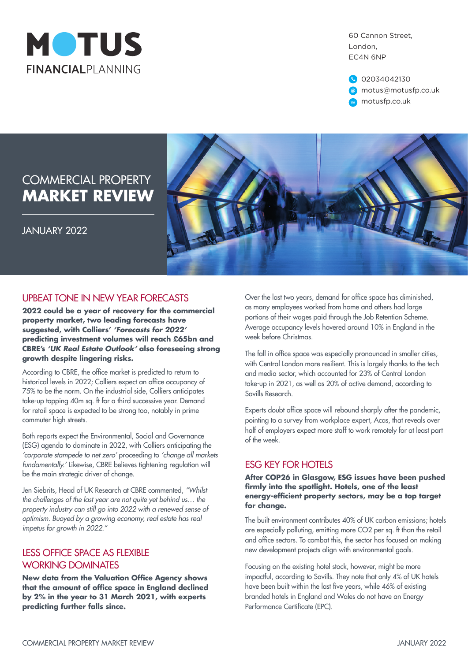

60 Cannon Street, London, EC4N 6NP



# COMMERCIAL PROPERTY **MARKET REVIEW**

JANUARY 2022



## UPBEAT TONE IN NEW YEAR FORECASTS

**2022 could be a year of recovery for the commercial property market, two leading forecasts have suggested, with Colliers'** *'Forecasts for 2022'*  **predicting investment volumes will reach £65bn and CBRE's** *'UK Real Estate Outlook'* **also foreseeing strong growth despite lingering risks.**

According to CBRE, the office market is predicted to return to historical levels in 2022; Colliers expect an office occupancy of 75% to be the norm. On the industrial side, Colliers anticipates take-up topping 40m sq. ft for a third successive year. Demand for retail space is expected to be strong too, notably in prime commuter high streets.

Both reports expect the Environmental, Social and Governance (ESG) agenda to dominate in 2022, with Colliers anticipating the *'corporate stampede to net zero'* proceeding to *'change all markets fundamentally.'* Likewise, CBRE believes tightening regulation will be the main strategic driver of change.

Jen Siebrits, Head of UK Research at CBRE commented, *"Whilst the challenges of the last year are not quite yet behind us… the property industry can still go into 2022 with a renewed sense of optimism. Buoyed by a growing economy, real estate has real impetus for growth in 2022."*

## LESS OFFICE SPACE AS FLEXIBLE WORKING DOMINATES

**New data from the Valuation Office Agency shows that the amount of office space in England declined by 2% in the year to 31 March 2021, with experts predicting further falls since.**

Over the last two years, demand for office space has diminished, as many employees worked from home and others had large portions of their wages paid through the Job Retention Scheme. Average occupancy levels hovered around 10% in England in the week before Christmas.

The fall in office space was especially pronounced in smaller cities, with Central London more resilient. This is largely thanks to the tech and media sector, which accounted for 23% of Central London take-up in 2021, as well as 20% of active demand, according to Savills Research.

Experts doubt office space will rebound sharply after the pandemic, pointing to a survey from workplace expert, Acas, that reveals over half of employers expect more staff to work remotely for at least part of the week.

## ESG KEY FOR HOTELS

**After COP26 in Glasgow, ESG issues have been pushed firmly into the spotlight. Hotels, one of the least energy-efficient property sectors, may be a top target for change.**

The built environment contributes 40% of UK carbon emissions; hotels are especially polluting, emitting more CO2 per sq. ft than the retail and office sectors. To combat this, the sector has focused on making new development projects align with environmental goals.

Focusing on the existing hotel stock, however, might be more impactful, according to Savills. They note that only 4% of UK hotels have been built within the last five years, while 46% of existing branded hotels in England and Wales do not have an Energy Performance Certificate (EPC).